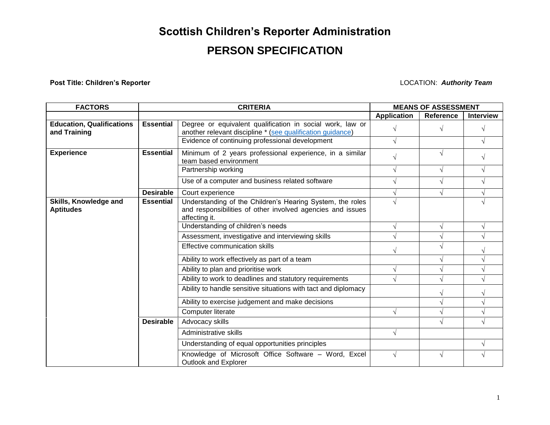# **Scottish Children's Reporter Administration**

## **PERSON SPECIFICATION**

**Post Title: Children's Reporter LOCATION: Authority Team** 

| <b>FACTORS</b>                                   |                  | <b>CRITERIA</b>                                                                                                                          | <b>MEANS OF ASSESSMENT</b> |                  |                  |
|--------------------------------------------------|------------------|------------------------------------------------------------------------------------------------------------------------------------------|----------------------------|------------------|------------------|
|                                                  |                  |                                                                                                                                          | <b>Application</b>         | <b>Reference</b> | <b>Interview</b> |
| <b>Education, Qualifications</b><br>and Training | <b>Essential</b> | Degree or equivalent qualification in social work, law or<br>another relevant discipline * (see qualification guidance)                  |                            |                  | V                |
|                                                  |                  | Evidence of continuing professional development                                                                                          |                            |                  |                  |
| <b>Experience</b>                                | <b>Essential</b> | Minimum of 2 years professional experience, in a similar<br>team based environment                                                       |                            | $\mathcal{N}$    |                  |
|                                                  |                  | Partnership working                                                                                                                      |                            |                  | V                |
|                                                  |                  | Use of a computer and business related software                                                                                          |                            |                  |                  |
|                                                  | <b>Desirable</b> | Court experience                                                                                                                         |                            |                  |                  |
| Skills, Knowledge and<br><b>Aptitudes</b>        | <b>Essential</b> | Understanding of the Children's Hearing System, the roles<br>and responsibilities of other involved agencies and issues<br>affecting it. |                            |                  |                  |
|                                                  |                  | Understanding of children's needs                                                                                                        |                            |                  |                  |
|                                                  |                  | Assessment, investigative and interviewing skills                                                                                        |                            |                  |                  |
|                                                  |                  | Effective communication skills                                                                                                           |                            |                  |                  |
|                                                  |                  | Ability to work effectively as part of a team                                                                                            |                            |                  |                  |
|                                                  |                  | Ability to plan and prioritise work                                                                                                      |                            |                  |                  |
|                                                  |                  | Ability to work to deadlines and statutory requirements                                                                                  |                            |                  |                  |
|                                                  |                  | Ability to handle sensitive situations with tact and diplomacy                                                                           |                            |                  |                  |
|                                                  |                  | Ability to exercise judgement and make decisions                                                                                         |                            |                  |                  |
|                                                  |                  | Computer literate                                                                                                                        |                            |                  |                  |
|                                                  | <b>Desirable</b> | Advocacy skills                                                                                                                          |                            |                  |                  |
|                                                  |                  | Administrative skills                                                                                                                    |                            |                  |                  |
|                                                  |                  | Understanding of equal opportunities principles                                                                                          |                            |                  |                  |
|                                                  |                  | Knowledge of Microsoft Office Software - Word, Excel<br><b>Outlook and Explorer</b>                                                      |                            |                  |                  |